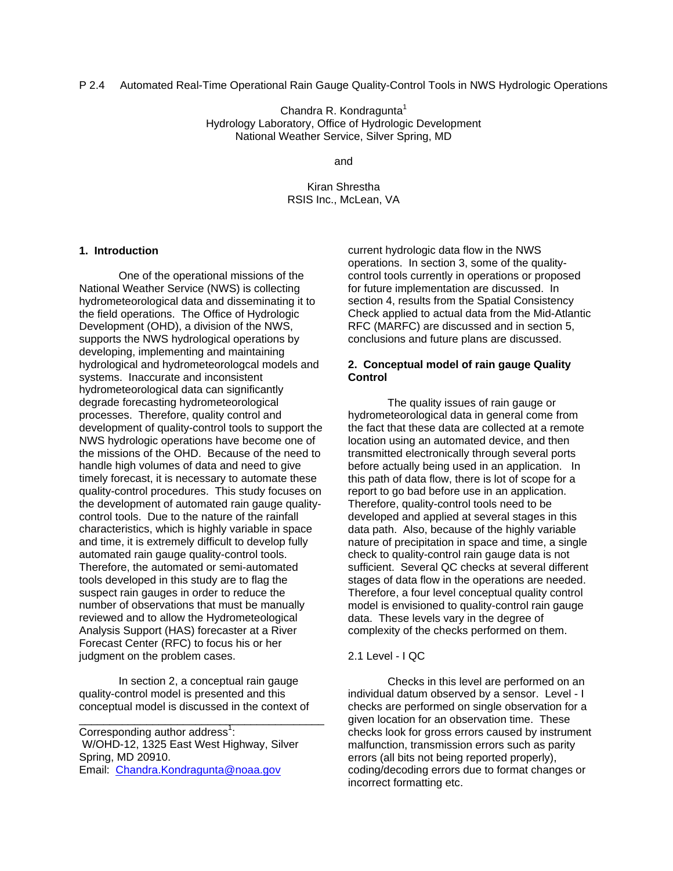Chandra R. Kondragunta $1$ Hydrology Laboratory, Office of Hydrologic Development National Weather Service, Silver Spring, MD

and

Kiran Shrestha RSIS Inc., McLean, VA

# **1. Introduction**

One of the operational missions of the National Weather Service (NWS) is collecting hydrometeorological data and disseminating it to the field operations. The Office of Hydrologic Development (OHD), a division of the NWS, supports the NWS hydrological operations by developing, implementing and maintaining hydrological and hydrometeorologcal models and systems. Inaccurate and inconsistent hydrometeorological data can significantly degrade forecasting hydrometeorological processes. Therefore, quality control and development of quality-control tools to support the NWS hydrologic operations have become one of the missions of the OHD. Because of the need to handle high volumes of data and need to give timely forecast, it is necessary to automate these quality-control procedures. This study focuses on the development of automated rain gauge qualitycontrol tools. Due to the nature of the rainfall characteristics, which is highly variable in space and time, it is extremely difficult to develop fully automated rain gauge quality-control tools. Therefore, the automated or semi-automated tools developed in this study are to flag the suspect rain gauges in order to reduce the number of observations that must be manually reviewed and to allow the Hydrometeological Analysis Support (HAS) forecaster at a River Forecast Center (RFC) to focus his or her judgment on the problem cases.

In section 2, a conceptual rain gauge quality-control model is presented and this conceptual model is discussed in the context of

\_\_\_\_\_\_\_\_\_\_\_\_\_\_\_\_\_\_\_\_\_\_\_\_\_\_\_\_\_\_\_\_\_\_\_\_\_\_\_\_

Corresponding author address<sup>1</sup>: W/OHD-12, 1325 East West Highway, Silver Spring, MD 20910. Email: Chandra.Kondragunta@noaa.gov

current hydrologic data flow in the NWS operations. In section 3, some of the qualitycontrol tools currently in operations or proposed for future implementation are discussed. In section 4, results from the Spatial Consistency Check applied to actual data from the Mid-Atlantic RFC (MARFC) are discussed and in section 5, conclusions and future plans are discussed.

## **2. Conceptual model of rain gauge Quality Control**

The quality issues of rain gauge or hydrometeorological data in general come from the fact that these data are collected at a remote location using an automated device, and then transmitted electronically through several ports before actually being used in an application. In this path of data flow, there is lot of scope for a report to go bad before use in an application. Therefore, quality-control tools need to be developed and applied at several stages in this data path. Also, because of the highly variable nature of precipitation in space and time, a single check to quality-control rain gauge data is not sufficient. Several QC checks at several different stages of data flow in the operations are needed. Therefore, a four level conceptual quality control model is envisioned to quality-control rain gauge data. These levels vary in the degree of complexity of the checks performed on them.

# 2.1 Level - I QC

Checks in this level are performed on an individual datum observed by a sensor. Level - I checks are performed on single observation for a given location for an observation time. These checks look for gross errors caused by instrument malfunction, transmission errors such as parity errors (all bits not being reported properly), coding/decoding errors due to format changes or incorrect formatting etc.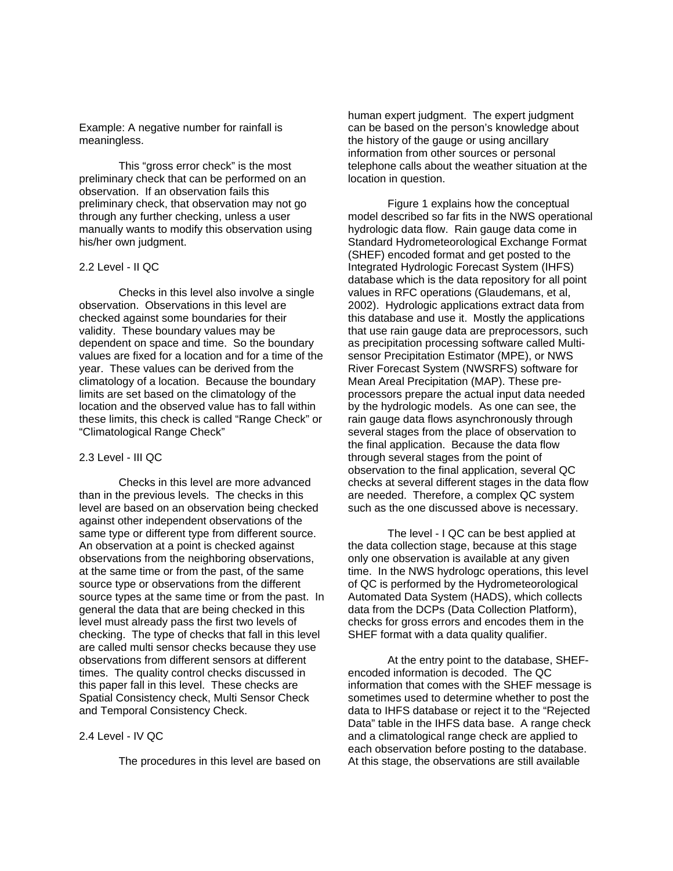Example: A negative number for rainfall is meaningless.

This "gross error check" is the most preliminary check that can be performed on an observation. If an observation fails this preliminary check, that observation may not go through any further checking, unless a user manually wants to modify this observation using his/her own judgment.

### 2.2 Level - II QC

Checks in this level also involve a single observation. Observations in this level are checked against some boundaries for their validity. These boundary values may be dependent on space and time. So the boundary values are fixed for a location and for a time of the year. These values can be derived from the climatology of a location. Because the boundary limits are set based on the climatology of the location and the observed value has to fall within these limits, this check is called "Range Check" or "Climatological Range Check"

### 2.3 Level - III QC

Checks in this level are more advanced than in the previous levels. The checks in this level are based on an observation being checked against other independent observations of the same type or different type from different source. An observation at a point is checked against observations from the neighboring observations, at the same time or from the past, of the same source type or observations from the different source types at the same time or from the past. In general the data that are being checked in this level must already pass the first two levels of checking. The type of checks that fall in this level are called multi sensor checks because they use observations from different sensors at different times. The quality control checks discussed in this paper fall in this level. These checks are Spatial Consistency check, Multi Sensor Check and Temporal Consistency Check.

### 2.4 Level - IV QC

The procedures in this level are based on

human expert judgment. The expert judgment can be based on the person's knowledge about the history of the gauge or using ancillary information from other sources or personal telephone calls about the weather situation at the location in question.

Figure 1 explains how the conceptual model described so far fits in the NWS operational hydrologic data flow. Rain gauge data come in Standard Hydrometeorological Exchange Format (SHEF) encoded format and get posted to the Integrated Hydrologic Forecast System (IHFS) database which is the data repository for all point values in RFC operations (Glaudemans, et al, 2002). Hydrologic applications extract data from this database and use it. Mostly the applications that use rain gauge data are preprocessors, such as precipitation processing software called Multisensor Precipitation Estimator (MPE), or NWS River Forecast System (NWSRFS) software for Mean Areal Precipitation (MAP). These preprocessors prepare the actual input data needed by the hydrologic models. As one can see, the rain gauge data flows asynchronously through several stages from the place of observation to the final application. Because the data flow through several stages from the point of observation to the final application, several QC checks at several different stages in the data flow are needed. Therefore, a complex QC system such as the one discussed above is necessary.

The level - I QC can be best applied at the data collection stage, because at this stage only one observation is available at any given time. In the NWS hydrologc operations, this level of QC is performed by the Hydrometeorological Automated Data System (HADS), which collects data from the DCPs (Data Collection Platform), checks for gross errors and encodes them in the SHEF format with a data quality qualifier.

At the entry point to the database, SHEFencoded information is decoded. The QC information that comes with the SHEF message is sometimes used to determine whether to post the data to IHFS database or reject it to the "Rejected Data" table in the IHFS data base. A range check and a climatological range check are applied to each observation before posting to the database. At this stage, the observations are still available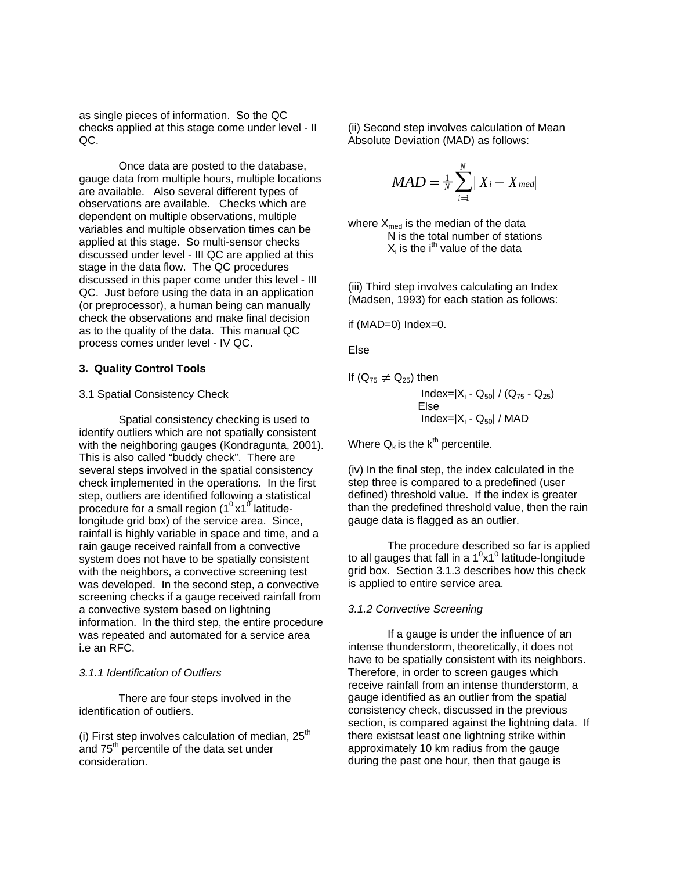as single pieces of information. So the QC checks applied at this stage come under level - II QC.

Once data are posted to the database, gauge data from multiple hours, multiple locations are available. Also several different types of observations are available. Checks which are dependent on multiple observations, multiple variables and multiple observation times can be applied at this stage. So multi-sensor checks discussed under level - III QC are applied at this stage in the data flow. The QC procedures discussed in this paper come under this level - III QC. Just before using the data in an application (or preprocessor), a human being can manually check the observations and make final decision as to the quality of the data. This manual QC process comes under level - IV QC.

## **3. Quality Control Tools**

## 3.1 Spatial Consistency Check

Spatial consistency checking is used to identify outliers which are not spatially consistent with the neighboring gauges (Kondragunta, 2001). This is also called "buddy check". There are several steps involved in the spatial consistency check implemented in the operations. In the first step, outliers are identified following a statistical procedure for a small region (1 $^0$  x1 $^0$  latitudelongitude grid box) of the service area. Since, rainfall is highly variable in space and time, and a rain gauge received rainfall from a convective system does not have to be spatially consistent with the neighbors, a convective screening test was developed. In the second step, a convective screening checks if a gauge received rainfall from a convective system based on lightning information. In the third step, the entire procedure was repeated and automated for a service area i.e an RFC.

### *3.1.1 Identification of Outliers*

There are four steps involved in the identification of outliers.

(i) First step involves calculation of median,  $25<sup>th</sup>$ and 75<sup>th</sup> percentile of the data set under consideration.

(ii) Second step involves calculation of Mean Absolute Deviation (MAD) as follows:

$$
MAD = \frac{1}{N} \sum_{i=1}^{N} |X_i - X_{med}|
$$

where  $X_{\text{med}}$  is the median of the data N is the total number of stations  $X_i$  is the i<sup>th</sup> value of the data

(iii) Third step involves calculating an Index (Madsen, 1993) for each station as follows:

if (MAD=0) Index=0.

Else

If 
$$
(Q_{75} \neq Q_{25})
$$
 then  
\n
$$
\frac{\text{Index}=|X_i - Q_{50}|}{\text{Else}} / (Q_{75} - Q_{25})
$$
\nElse  
\n
$$
\frac{\text{Index}=|X_i - Q_{50}|}{\text{Index}|X_i - Q_{50}|}
$$

Where  $Q_k$  is the  $k^{th}$  percentile.

(iv) In the final step, the index calculated in the step three is compared to a predefined (user defined) threshold value. If the index is greater than the predefined threshold value, then the rain gauge data is flagged as an outlier.

 The procedure described so far is applied to all gauges that fall in a  $1^0$ x1<sup>0</sup> latitude-longitude grid box. Section 3.1.3 describes how this check is applied to entire service area.

### *3.1.2 Convective Screening*

If a gauge is under the influence of an intense thunderstorm, theoretically, it does not have to be spatially consistent with its neighbors. Therefore, in order to screen gauges which receive rainfall from an intense thunderstorm, a gauge identified as an outlier from the spatial consistency check, discussed in the previous section, is compared against the lightning data. If there existsat least one lightning strike within approximately 10 km radius from the gauge during the past one hour, then that gauge is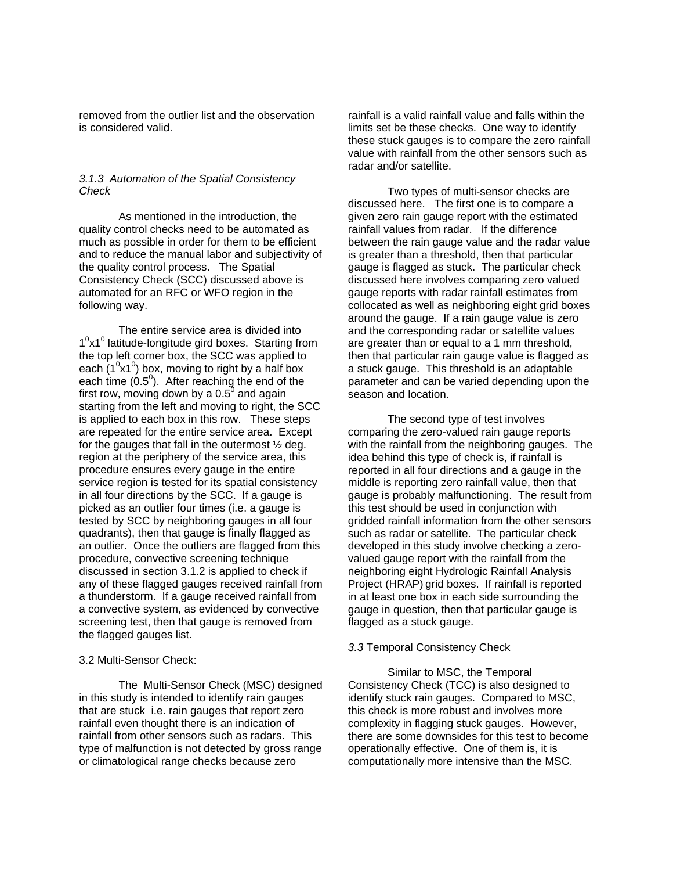removed from the outlier list and the observation is considered valid.

## *3.1.3 Automation of the Spatial Consistency Check*

As mentioned in the introduction, the quality control checks need to be automated as much as possible in order for them to be efficient and to reduce the manual labor and subjectivity of the quality control process. The Spatial Consistency Check (SCC) discussed above is automated for an RFC or WFO region in the following way.

The entire service area is divided into  $1^0$ x1<sup>0</sup> latitude-longitude gird boxes. Starting from the top left corner box, the SCC was applied to each  $(1^0x1^0)$  box, moving to right by a half box each time  $(0.5^0)$ . After reaching the end of the first row, moving down by a 0.5 $^{\rm 0}$  and again starting from the left and moving to right, the SCC is applied to each box in this row. These steps are repeated for the entire service area. Except for the gauges that fall in the outermost ½ deg. region at the periphery of the service area, this procedure ensures every gauge in the entire service region is tested for its spatial consistency in all four directions by the SCC. If a gauge is picked as an outlier four times (i.e. a gauge is tested by SCC by neighboring gauges in all four quadrants), then that gauge is finally flagged as an outlier. Once the outliers are flagged from this procedure, convective screening technique discussed in section 3.1.2 is applied to check if any of these flagged gauges received rainfall from a thunderstorm. If a gauge received rainfall from a convective system, as evidenced by convective screening test, then that gauge is removed from the flagged gauges list.

#### 3.2 Multi-Sensor Check:

The Multi-Sensor Check (MSC) designed in this study is intended to identify rain gauges that are stuck i.e. rain gauges that report zero rainfall even thought there is an indication of rainfall from other sensors such as radars. This type of malfunction is not detected by gross range or climatological range checks because zero

rainfall is a valid rainfall value and falls within the limits set be these checks. One way to identify these stuck gauges is to compare the zero rainfall value with rainfall from the other sensors such as radar and/or satellite.

Two types of multi-sensor checks are discussed here. The first one is to compare a given zero rain gauge report with the estimated rainfall values from radar. If the difference between the rain gauge value and the radar value is greater than a threshold, then that particular gauge is flagged as stuck. The particular check discussed here involves comparing zero valued gauge reports with radar rainfall estimates from collocated as well as neighboring eight grid boxes around the gauge. If a rain gauge value is zero and the corresponding radar or satellite values are greater than or equal to a 1 mm threshold, then that particular rain gauge value is flagged as a stuck gauge. This threshold is an adaptable parameter and can be varied depending upon the season and location.

The second type of test involves comparing the zero-valued rain gauge reports with the rainfall from the neighboring gauges. The idea behind this type of check is, if rainfall is reported in all four directions and a gauge in the middle is reporting zero rainfall value, then that gauge is probably malfunctioning. The result from this test should be used in conjunction with gridded rainfall information from the other sensors such as radar or satellite. The particular check developed in this study involve checking a zerovalued gauge report with the rainfall from the neighboring eight Hydrologic Rainfall Analysis Project (HRAP) grid boxes. If rainfall is reported in at least one box in each side surrounding the gauge in question, then that particular gauge is flagged as a stuck gauge.

### *3.3* Temporal Consistency Check

Similar to MSC, the Temporal Consistency Check (TCC) is also designed to identify stuck rain gauges. Compared to MSC, this check is more robust and involves more complexity in flagging stuck gauges. However, there are some downsides for this test to become operationally effective. One of them is, it is computationally more intensive than the MSC.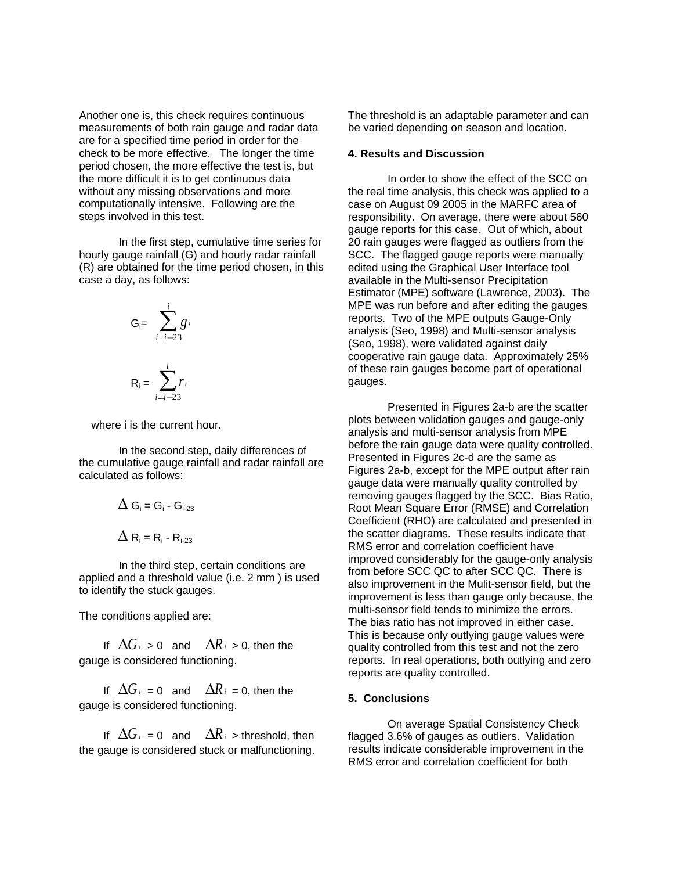Another one is, this check requires continuous measurements of both rain gauge and radar data are for a specified time period in order for the check to be more effective. The longer the time period chosen, the more effective the test is, but the more difficult it is to get continuous data without any missing observations and more computationally intensive. Following are the steps involved in this test.

In the first step, cumulative time series for hourly gauge rainfall (G) and hourly radar rainfall (R) are obtained for the time period chosen, in this case a day, as follows:

$$
G_{i} = \sum_{i=i-23}^{i} g_i
$$

$$
R_i = \sum_{i=i-23}^{i} r_i
$$

where i is the current hour.

In the second step, daily differences of the cumulative gauge rainfall and radar rainfall are calculated as follows:

$$
\Delta G_{i} = G_{i} - G_{i-23}
$$

$$
\Delta R_{i} = R_{i} - R_{i-23}
$$

In the third step, certain conditions are applied and a threshold value (i.e. 2 mm ) is used to identify the stuck gauges.

The conditions applied are:

If  $\Delta G_i > 0$  and  $\Delta R_i > 0$ , then the gauge is considered functioning.

If  $\Delta G_i = 0$  and  $\Delta R_i = 0$ , then the gauge is considered functioning.

If  $\Delta G_i = 0$  and  $\Delta R_i$  > threshold, then the gauge is considered stuck or malfunctioning.

The threshold is an adaptable parameter and can be varied depending on season and location.

### **4. Results and Discussion**

In order to show the effect of the SCC on the real time analysis, this check was applied to a case on August 09 2005 in the MARFC area of responsibility. On average, there were about 560 gauge reports for this case. Out of which, about 20 rain gauges were flagged as outliers from the SCC. The flagged gauge reports were manually edited using the Graphical User Interface tool available in the Multi-sensor Precipitation Estimator (MPE) software (Lawrence, 2003). The MPE was run before and after editing the gauges reports. Two of the MPE outputs Gauge-Only analysis (Seo, 1998) and Multi-sensor analysis (Seo, 1998), were validated against daily cooperative rain gauge data. Approximately 25% of these rain gauges become part of operational gauges.

Presented in Figures 2a-b are the scatter plots between validation gauges and gauge-only analysis and multi-sensor analysis from MPE before the rain gauge data were quality controlled. Presented in Figures 2c-d are the same as Figures 2a-b, except for the MPE output after rain gauge data were manually quality controlled by removing gauges flagged by the SCC. Bias Ratio, Root Mean Square Error (RMSE) and Correlation Coefficient (RHO) are calculated and presented in the scatter diagrams. These results indicate that RMS error and correlation coefficient have improved considerably for the gauge-only analysis from before SCC QC to after SCC QC. There is also improvement in the Mulit-sensor field, but the improvement is less than gauge only because, the multi-sensor field tends to minimize the errors. The bias ratio has not improved in either case. This is because only outlying gauge values were quality controlled from this test and not the zero reports. In real operations, both outlying and zero reports are quality controlled.

### **5. Conclusions**

 On average Spatial Consistency Check flagged 3.6% of gauges as outliers. Validation results indicate considerable improvement in the RMS error and correlation coefficient for both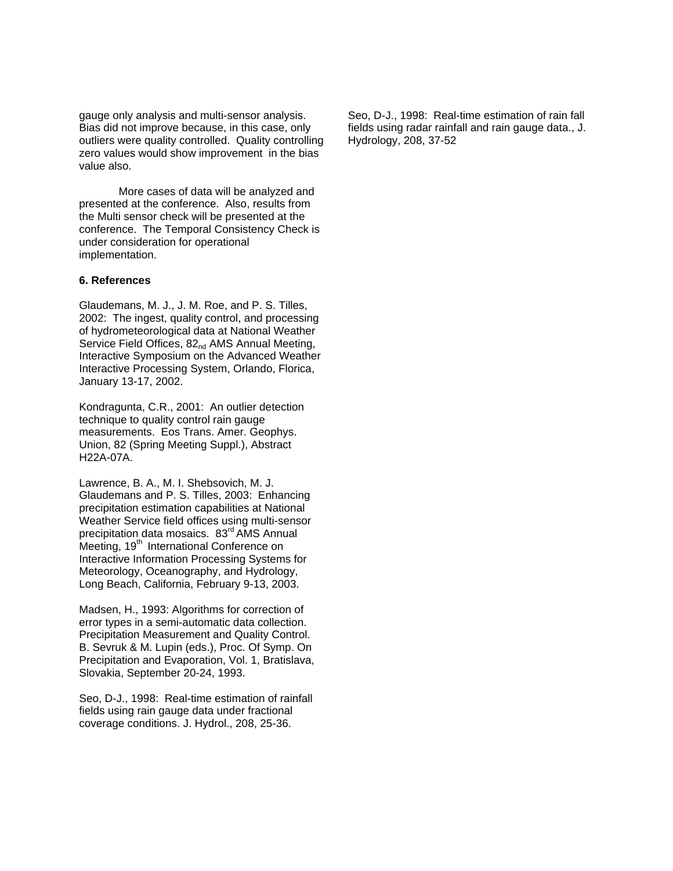gauge only analysis and multi-sensor analysis. Bias did not improve because, in this case, only outliers were quality controlled. Quality controlling zero values would show improvement in the bias value also.

More cases of data will be analyzed and presented at the conference. Also, results from the Multi sensor check will be presented at the conference. The Temporal Consistency Check is under consideration for operational implementation.

### **6. References**

Glaudemans, M. J., J. M. Roe, and P. S. Tilles, 2002: The ingest, quality control, and processing of hydrometeorological data at National Weather Service Field Offices, 82<sub>nd</sub> AMS Annual Meeting, Interactive Symposium on the Advanced Weather Interactive Processing System, Orlando, Florica, January 13-17, 2002.

Kondragunta, C.R., 2001: An outlier detection technique to quality control rain gauge measurements. Eos Trans. Amer. Geophys. Union, 82 (Spring Meeting Suppl.), Abstract H22A-07A.

Lawrence, B. A., M. I. Shebsovich, M. J. Glaudemans and P. S. Tilles, 2003: Enhancing precipitation estimation capabilities at National Weather Service field offices using multi-sensor precipitation data mosaics. 83<sup>rd</sup> AMS Annual Meeting, 19<sup>th</sup> International Conference on Interactive Information Processing Systems for Meteorology, Oceanography, and Hydrology, Long Beach, California, February 9-13, 2003.

Madsen, H., 1993: Algorithms for correction of error types in a semi-automatic data collection. Precipitation Measurement and Quality Control. B. Sevruk & M. Lupin (eds.), Proc. Of Symp. On Precipitation and Evaporation, Vol. 1, Bratislava, Slovakia, September 20-24, 1993.

Seo, D-J., 1998: Real-time estimation of rainfall fields using rain gauge data under fractional coverage conditions. J. Hydrol., 208, 25-36.

Seo, D-J., 1998: Real-time estimation of rain fall fields using radar rainfall and rain gauge data., J. Hydrology, 208, 37-52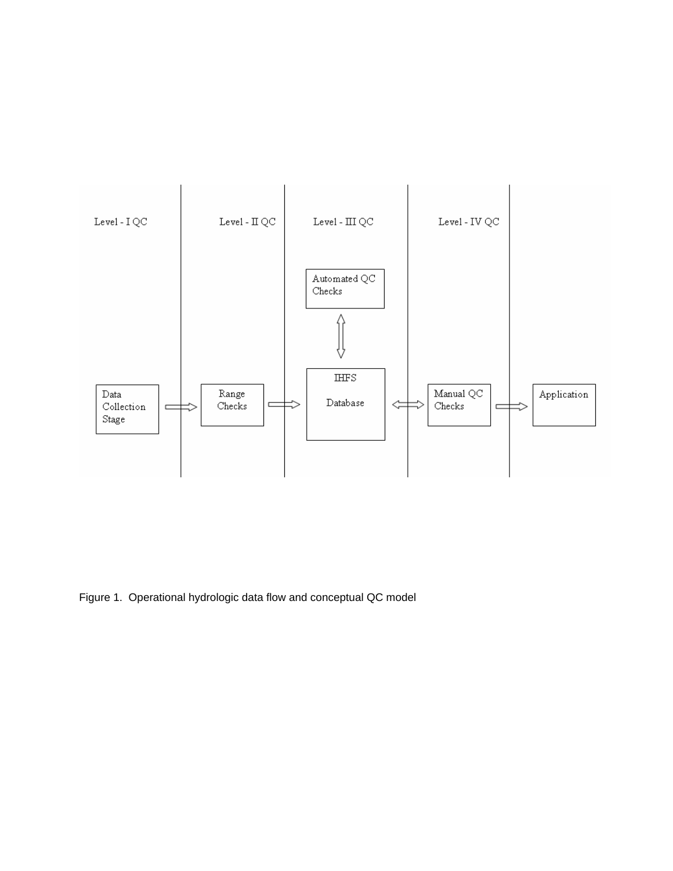

Figure 1. Operational hydrologic data flow and conceptual QC model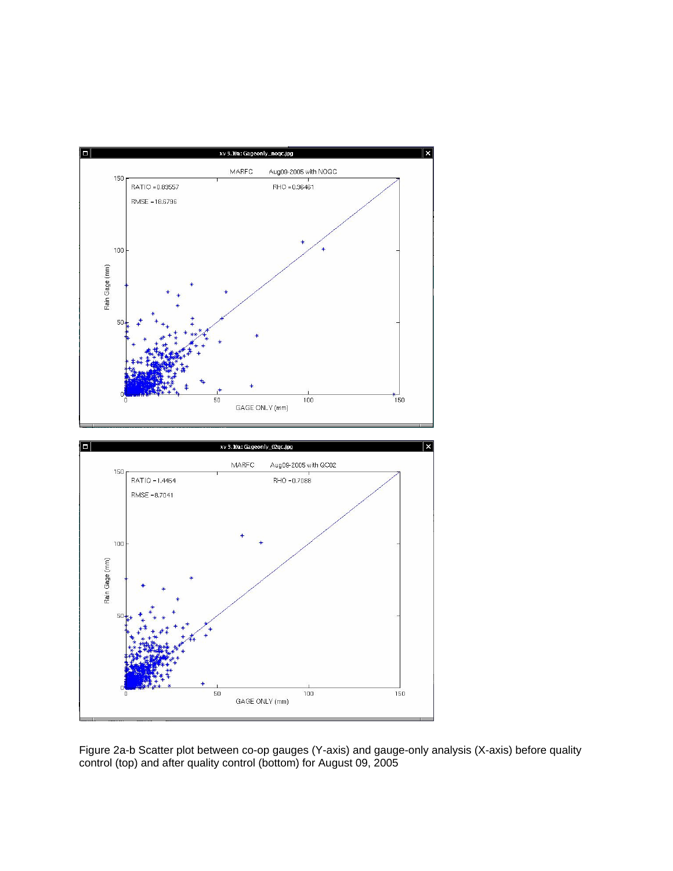

Figure 2a-b Scatter plot between co-op gauges (Y-axis) and gauge-only analysis (X-axis) before quality control (top) and after quality control (bottom) for August 09, 2005